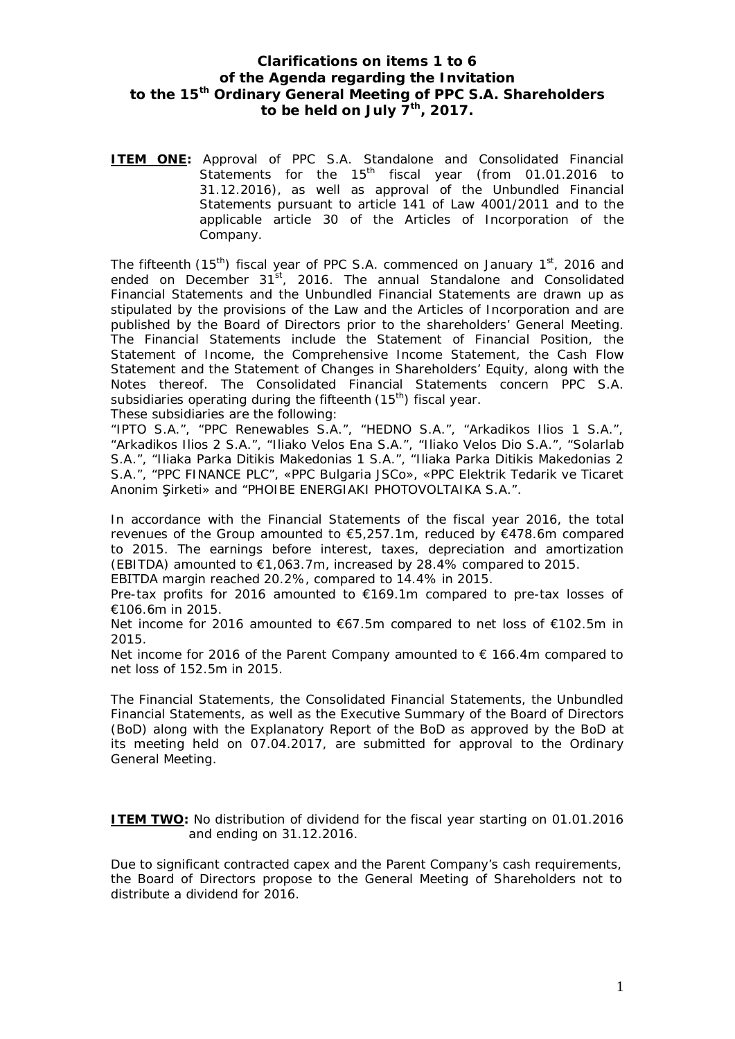## **Clarifications on items 1 to 6 of the Agenda regarding the Invitation to the 15th Ordinary General Meeting of PPC S.A. Shareholders to be held on July 7th, 2017.**

**ITEM ONE:** Approval of PPC S.A. Standalone and Consolidated Financial Statements for the 15<sup>th</sup> fiscal year (from 01.01.2016 to 31.12.2016), as well as approval of the Unbundled Financial Statements pursuant to article 141 of Law 4001/2011 and to the applicable article 30 of the Articles of Incorporation of the Company.

The fifteenth (15<sup>th</sup>) fiscal year of PPC S.A. commenced on January 1<sup>st</sup>, 2016 and ended on December 31<sup>st</sup>, 2016. The annual Standalone and Consolidated Financial Statements and the Unbundled Financial Statements are drawn up as stipulated by the provisions of the Law and the Articles of Incorporation and are published by the Board of Directors prior to the shareholders' General Meeting. The Financial Statements include the Statement of Financial Position, the Statement of Income, the Comprehensive Income Statement, the Cash Flow Statement and the Statement of Changes in Shareholders' Equity, along with the Notes thereof. The Consolidated Financial Statements concern PPC S.A. subsidiaries operating during the fifteenth  $(15<sup>th</sup>)$  fiscal year.

These subsidiaries are the following:

"IPTO S.A.", "PPC Renewables S.A.", "HEDNO S.A.", "Arkadikos Ilios 1 S.A.", "Arkadikos Ilios 2 S.A.", "Iliako Velos Ena S.A.", "Iliako Velos Dio S.A.", "Solarlab S.A.", "Iliaka Parka Ditikis Makedonias 1 S.A.", "Iliaka Parka Ditikis Makedonias 2 S.A.", "PPC FINANCE PLC", «PPC Bulgaria JSCo», «PPC Elektrik Tedarik ve Ticaret Anonim Sirketi» and "PHOIBE ENERGIAKI PHOTOVOLTAIKA S.A.".

In accordance with the Financial Statements of the fiscal year 2016, the total revenues of the Group amounted to €5,257.1m, reduced by €478.6m compared to 2015. The earnings before interest, taxes, depreciation and amortization (EBITDA) amounted to  $\epsilon$ 1,063.7m, increased by 28.4% compared to 2015. EBITDA margin reached 20.2%, compared to 14.4% in 2015.

Pre-tax profits for 2016 amounted to €169.1m compared to pre-tax losses of €106.6m in 2015.

Net income for 2016 amounted to €67.5m compared to net loss of €102.5m in 2015.

Net income for 2016 of the Parent Company amounted to  $\epsilon$  166.4m compared to net loss of 152.5m in 2015.

The Financial Statements, the Consolidated Financial Statements, the Unbundled Financial Statements, as well as the Executive Summary of the Board of Directors (BoD) along with the Explanatory Report of the BoD as approved by the BoD at its meeting held on 07.04.2017, are submitted for approval to the Ordinary General Meeting.

**ITEM TWO:** No distribution of dividend for the fiscal year starting on 01.01.2016 and ending on 31.12.2016.

Due to significant contracted capex and the Parent Company's cash requirements, the Board of Directors propose to the General Meeting of Shareholders not to distribute a dividend for 2016.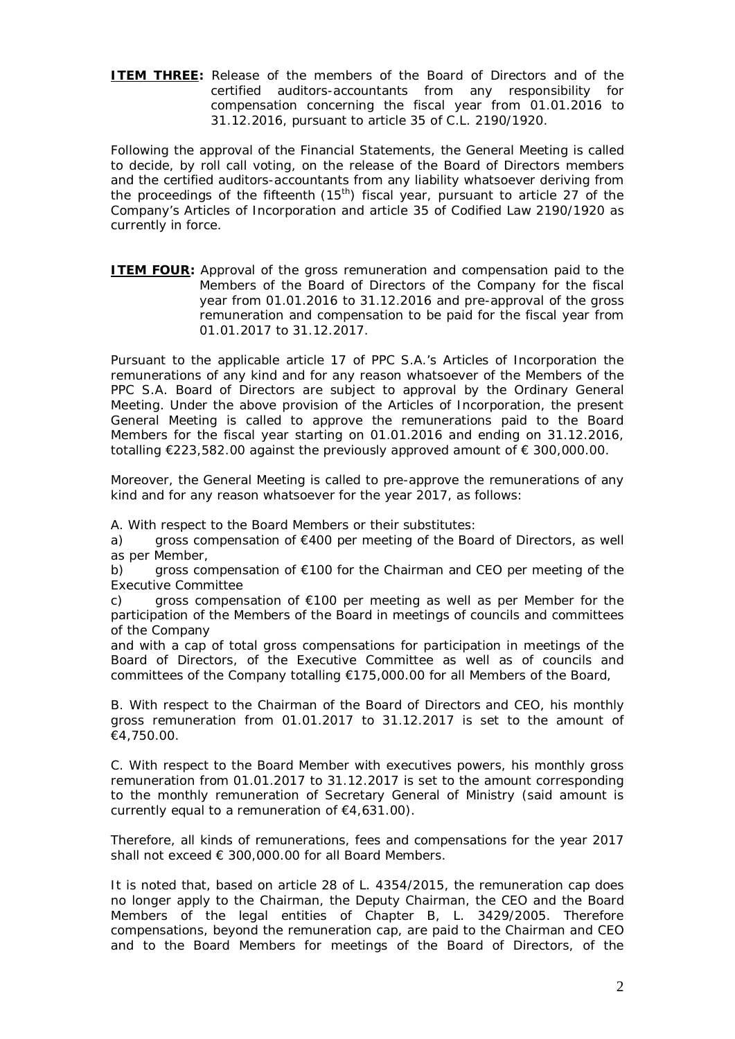**ITEM THREE:** Release of the members of the Board of Directors and of the certified auditors-accountants from any responsibility for compensation concerning the fiscal year from 01.01.2016 to 31.12.2016, pursuant to article 35 of C.L. 2190/1920.

Following the approval of the Financial Statements, the General Meeting is called to decide, by roll call voting, on the release of the Board of Directors members and the certified auditors-accountants from any liability whatsoever deriving from the proceedings of the fifteenth  $(15<sup>th</sup>)$  fiscal year, pursuant to article 27 of the Company's Articles of Incorporation and article 35 of Codified Law 2190/1920 as currently in force.

**ITEM FOUR:** Approval of the gross remuneration and compensation paid to the Members of the Board of Directors of the Company for the fiscal year from 01.01.2016 to 31.12.2016 and pre-approval of the gross remuneration and compensation to be paid for the fiscal year from 01.01.2017 to 31.12.2017.

Pursuant to the applicable article 17 of PPC S.A.'s Articles of Incorporation the remunerations of any kind and for any reason whatsoever of the Members of the PPC S.A. Board of Directors are subject to approval by the Ordinary General Meeting. Under the above provision of the Articles of Incorporation, the present General Meeting is called to approve the remunerations paid to the Board Members for the fiscal year starting on 01.01.2016 and ending on 31.12.2016, totalling €223,582.00 against the previously approved amount of € 300,000.00.

Moreover, the General Meeting is called to pre-approve the remunerations of any kind and for any reason whatsoever for the year 2017, as follows:

*A. With respect to the Board Members or their substitutes:* 

a) gross compensation of €400 per meeting of the Board of Directors, as well as per Member,

b) gross compensation of  $E100$  for the Chairman and CEO per meeting of the Executive Committee

c) gross compensation of €100 per meeting as well as per Member for the participation of the Members of the Board in meetings of councils and committees of the Company

and with a cap of total gross compensations for participation in meetings of the Board of Directors, of the Executive Committee as well as of councils and committees of the Company totalling €175,000.00 for all Members of the Board,

*B. With respect to the Chairman of the Board of Directors and CEO,* his monthly gross remuneration from 01.01.2017 to 31.12.2017 is set to the amount of €4,750.00.

*C. With respect to the Board Member* with executives powers, his monthly gross remuneration from 01.01.2017 to 31.12.2017 is set to the amount corresponding to the monthly remuneration of Secretary General of Ministry (said amount is currently equal to a remuneration of  $\epsilon$ 4,631.00).

Therefore, all kinds of remunerations, fees and compensations for the year 2017 shall not exceed € 300,000.00 for all Board Members.

It is noted that, based on article 28 of L. 4354/2015, the remuneration cap does no longer apply to the Chairman, the Deputy Chairman, the CEO and the Board Members of the legal entities of Chapter B, L. 3429/2005. Therefore compensations, beyond the remuneration cap, are paid to the Chairman and CEO and to the Board Members for meetings of the Board of Directors, of the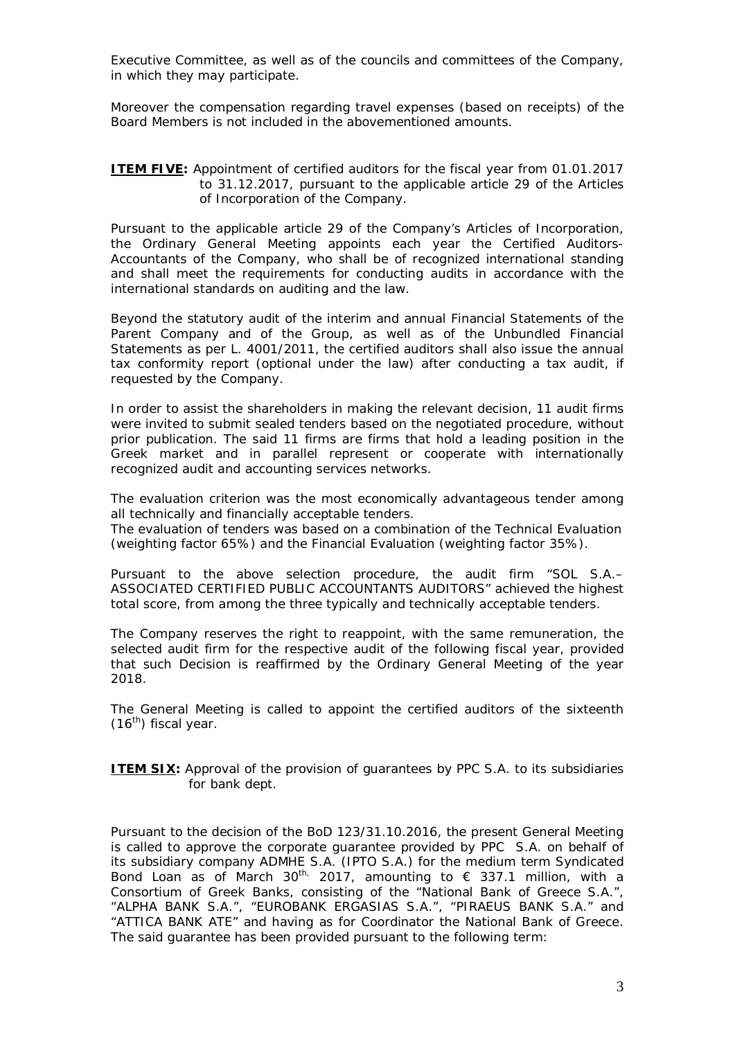Executive Committee, as well as of the councils and committees of the Company, in which they may participate.

Moreover the compensation regarding travel expenses (based on receipts) of the Board Members is not included in the abovementioned amounts.

## **ITEM FIVE:** Appointment of certified auditors for the fiscal year from 01.01.2017 to 31.12.2017, pursuant to the applicable article 29 of the Articles of Incorporation of the Company.

Pursuant to the applicable article 29 of the Company's Articles of Incorporation, the Ordinary General Meeting appoints each year the Certified Auditors-Accountants of the Company, who shall be of recognized international standing and shall meet the requirements for conducting audits in accordance with the international standards on auditing and the law.

Beyond the statutory audit of the interim and annual Financial Statements of the Parent Company and of the Group, as well as of the Unbundled Financial Statements as per L. 4001/2011, the certified auditors shall also issue the annual tax conformity report (optional under the law) after conducting a tax audit, if requested by the Company.

In order to assist the shareholders in making the relevant decision, 11 audit firms were invited to submit sealed tenders based on the negotiated procedure, without prior publication. The said 11 firms are firms that hold a leading position in the Greek market and in parallel represent or cooperate with internationally recognized audit and accounting services networks.

The evaluation criterion was the most economically advantageous tender among all technically and financially acceptable tenders.

The evaluation of tenders was based on a combination of the Technical Evaluation (weighting factor 65%) and the Financial Evaluation (weighting factor 35%).

Pursuant to the above selection procedure, the audit firm "SOL S.A.– ASSOCIATED CERTIFIED PUBLIC ACCOUNTANTS AUDITORS" achieved the highest total score, from among the three typically and technically acceptable tenders.

The Company reserves the right to reappoint, with the same remuneration, the selected audit firm for the respective audit of the following fiscal year, provided that such Decision is reaffirmed by the Ordinary General Meeting of the year 2018.

The General Meeting is called to appoint the certified auditors of the sixteenth  $(16^{th})$  fiscal year.

**ITEM SIX:** Approval of the provision of guarantees by PPC S.A. to its subsidiaries for bank dept.

Pursuant to the decision of the BoD 123/31.10.2016, the present General Meeting is called to approve the corporate guarantee provided by PPC S.A. on behalf of its subsidiary company ADMHE S.A. (IPTO S.A.) for the medium term Syndicated Bond Loan as of March 30<sup>th,</sup> 2017, amounting to  $\epsilon$  337.1 million, with a Consortium of Greek Banks, consisting of the "National Bank of Greece S.A.", "ALPHA BANK S.A.", "EUROBANK ERGASIAS S.A.", "PIRAEUS BANK S.A." and "ATTICA BANK ATE" and having as for Coordinator the National Bank of Greece. The said guarantee has been provided pursuant to the following term: